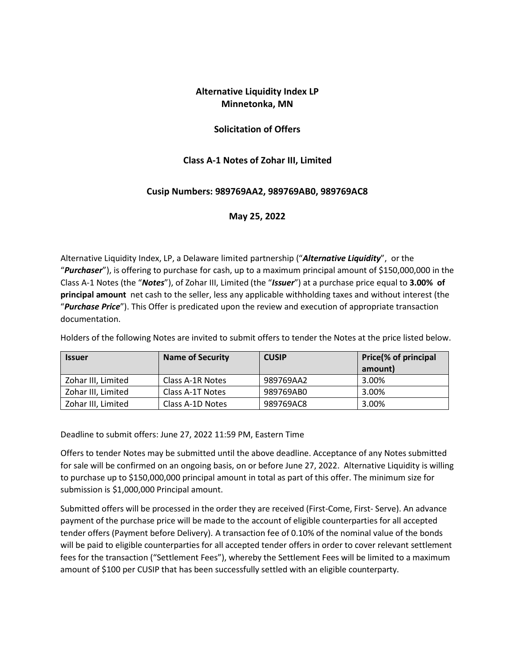# **Alternative Liquidity Index LP Minnetonka, MN**

### **Solicitation of Offers**

### **Class A-1 Notes of Zohar III, Limited**

### **Cusip Numbers: 989769AA2, 989769AB0, 989769AC8**

#### **May 25, 2022**

Alternative Liquidity Index, LP, a Delaware limited partnership ("*Alternative Liquidity*", or the "*Purchaser*"), is offering to purchase for cash, up to a maximum principal amount of \$150,000,000 in the Class A-1 Notes (the "*Notes*"), of Zohar III, Limited (the "*Issuer*") at a purchase price equal to **3.00% of principal amount** net cash to the seller, less any applicable withholding taxes and without interest (the "*Purchase Price*"). This Offer is predicated upon the review and execution of appropriate transaction documentation.

Holders of the following Notes are invited to submit offers to tender the Notes at the price listed below.

| <b>Issuer</b>      | <b>Name of Security</b> | <b>CUSIP</b> | Price(% of principal |
|--------------------|-------------------------|--------------|----------------------|
|                    |                         |              | amount)              |
| Zohar III, Limited | Class A-1R Notes        | 989769AA2    | 3.00%                |
| Zohar III, Limited | Class A-1T Notes        | 989769AB0    | 3.00%                |
| Zohar III, Limited | Class A-1D Notes        | 989769AC8    | 3.00%                |

Deadline to submit offers: June 27, 2022 11:59 PM, Eastern Time

Offers to tender Notes may be submitted until the above deadline. Acceptance of any Notes submitted for sale will be confirmed on an ongoing basis, on or before June 27, 2022. Alternative Liquidity is willing to purchase up to \$150,000,000 principal amount in total as part of this offer. The minimum size for submission is \$1,000,000 Principal amount.

Submitted offers will be processed in the order they are received (First-Come, First- Serve). An advance payment of the purchase price will be made to the account of eligible counterparties for all accepted tender offers (Payment before Delivery). A transaction fee of 0.10% of the nominal value of the bonds will be paid to eligible counterparties for all accepted tender offers in order to cover relevant settlement fees for the transaction ("Settlement Fees"), whereby the Settlement Fees will be limited to a maximum amount of \$100 per CUSIP that has been successfully settled with an eligible counterparty.